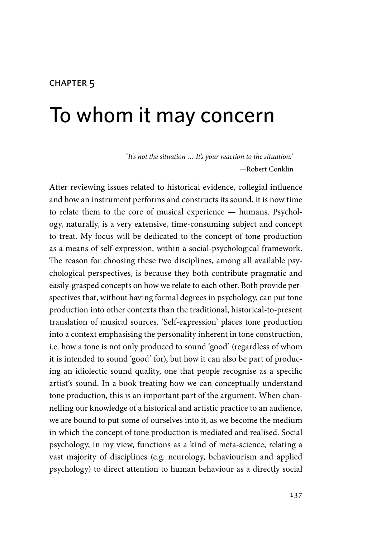#### chapter 5

# To whom it may concern

'*It's not the situation … It's your reaction to the situation.*' —Robert Conklin

After reviewing issues related to historical evidence, collegial influence and how an instrument performs and constructs its sound, it is now time to relate them to the core of musical experience — humans. Psychology, naturally, is a very extensive, time-consuming subject and concept to treat. My focus will be dedicated to the concept of tone production as a means of self-expression, within a social-psychological framework. The reason for choosing these two disciplines, among all available psychological perspectives, is because they both contribute pragmatic and easily-grasped concepts on how we relate to each other. Both provide perspectives that, without having formal degrees in psychology, can put tone production into other contexts than the traditional, historical-to-present translation of musical sources. 'Self-expression' places tone production into a context emphasising the personality inherent in tone construction, i.e. how a tone is not only produced to sound 'good' (regardless of whom it is intended to sound 'good' for), but how it can also be part of producing an idiolectic sound quality, one that people recognise as a specific artist's sound. In a book treating how we can conceptually understand tone production, this is an important part of the argument. When channelling our knowledge of a historical and artistic practice to an audience, we are bound to put some of ourselves into it, as we become the medium in which the concept of tone production is mediated and realised. Social psychology, in my view, functions as a kind of meta-science, relating a vast majority of disciplines (e.g. neurology, behaviourism and applied psychology) to direct attention to human behaviour as a directly social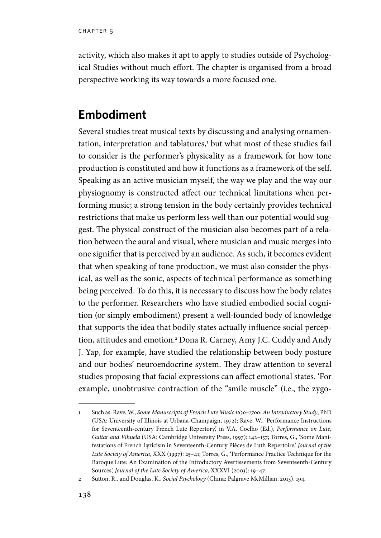activity, which also makes it apt to apply to studies outside of Psychological Studies without much effort. The chapter is organised from a broad perspective working its way towards a more focused one.

## **Embodiment**

Several studies treat musical texts by discussing and analysing ornamentation, interpretation and tablatures,<del>'</del> but what most of these studies fail to consider is the performer's physicality as a framework for how tone production is constituted and how it functions as a framework of the self. Speaking as an active musician myself, the way we play and the way our physiognomy is constructed affect our technical limitations when performing music; a strong tension in the body certainly provides technical restrictions that make us perform less well than our potential would suggest. The physical construct of the musician also becomes part of a relation between the aural and visual, where musician and music merges into one signifier that is perceived by an audience. As such, it becomes evident that when speaking of tone production, we must also consider the physical, as well as the sonic, aspects of technical performance as something being perceived. To do this, it is necessary to discuss how the body relates to the performer. Researchers who have studied embodied social cognition (or simply embodiment) present a well-founded body of knowledge that supports the idea that bodily states actually influence social perception, attitudes and emotion.2 Dona R. Carney, Amy J.C. Cuddy and Andy J. Yap, for example, have studied the relationship between body posture and our bodies' neuroendocrine system. They draw attention to several studies proposing that facial expressions can affect emotional states. 'For example, unobtrusive contraction of the "smile muscle" (i.e., the zygo-

<sup>1</sup> Such as: Rave, W., *Some Manuscripts of French Lute Music 1630–1700: An Introductory Study*, PhD (USA: University of Illinois at Urbana-Champaign, 1972); Rave, W., 'Performance Instructions for Seventeenth-century French Lute Repertory,' in V.A. Coelho (Ed.), *Performance on Lute, Guitar and Vihuela* (USA: Cambridge University Press, 1997): 142–157; Torres, G., 'Some Manifestations of French Lyricism in Seventeenth-Century Pièces de Luth Repertoire,' *Journal of the Lute Society of America*, XXX (1997): 25–41; Torres, G., 'Performance Practice Technique for the Baroque Lute: An Examination of the Introductory Avertissements from Seventeenth-Century Sources,' *Journal of the Lute Society of America*, XXXVI (2003): 19–47.

<sup>2</sup> Sutton, R., and Douglas, K., *Social Psychology* (China: Palgrave McMillian, 2013), 194.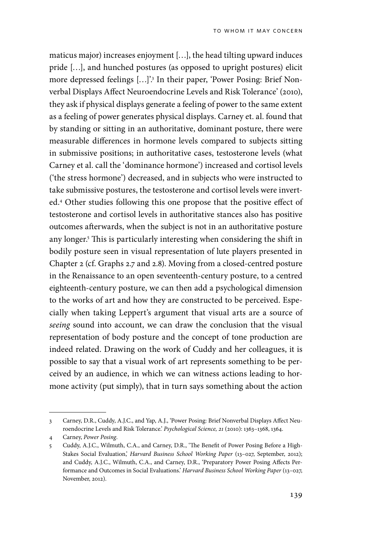maticus major) increases enjoyment […], the head tilting upward induces pride […], and hunched postures (as opposed to upright postures) elicit more depressed feelings […]'.3 In their paper, 'Power Posing: Brief Nonverbal Displays Affect Neuroendocrine Levels and Risk Tolerance' (2010), they ask if physical displays generate a feeling of power to the same extent as a feeling of power generates physical displays. Carney et. al. found that by standing or sitting in an authoritative, dominant posture, there were measurable differences in hormone levels compared to subjects sitting in submissive positions; in authoritative cases, testosterone levels (what Carney et al. call the 'dominance hormone') increased and cortisol levels ('the stress hormone') decreased, and in subjects who were instructed to take submissive postures, the testosterone and cortisol levels were inverted.4 Other studies following this one propose that the positive effect of testosterone and cortisol levels in authoritative stances also has positive outcomes afterwards, when the subject is not in an authoritative posture any longer.5 This is particularly interesting when considering the shift in bodily posture seen in visual representation of lute players presented in Chapter 2 (cf. Graphs 2.7 and 2.8). Moving from a closed-centred posture in the Renaissance to an open seventeenth-century posture, to a centred eighteenth-century posture, we can then add a psychological dimension to the works of art and how they are constructed to be perceived. Especially when taking Leppert's argument that visual arts are a source of *seeing* sound into account, we can draw the conclusion that the visual representation of body posture and the concept of tone production are indeed related. Drawing on the work of Cuddy and her colleagues, it is possible to say that a visual work of art represents something to be perceived by an audience, in which we can witness actions leading to hormone activity (put simply), that in turn says something about the action

<sup>3</sup> Carney, D.R., Cuddy, A.J.C., and Yap, A.J., 'Power Posing: Brief Nonverbal Displays Affect Neuroendocrine Levels and Risk Tolerance.' *Psychological Science, 21* (2010): 1363–1368, 1364.

<sup>4</sup> Carney, *Power Posing*.

<sup>5</sup> Cuddy, A.J.C., Wilmuth, C.A., and Carney, D.R., 'The Benefit of Power Posing Before a High-Stakes Social Evaluation,' *Harvard Business School Working Paper* (13–027, September, 2012); and Cuddy, A.J.C., Wilmuth, C.A., and Carney, D.R., 'Preparatory Power Posing Affects Performance and Outcomes in Social Evaluations.' *Harvard Business School Working Paper* (13–027, November, 2012).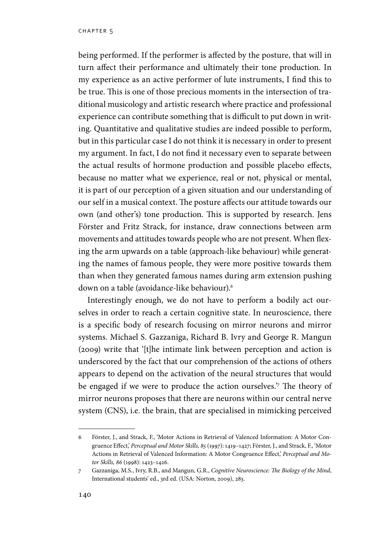being performed. If the performer is affected by the posture, that will in turn affect their performance and ultimately their tone production. In my experience as an active performer of lute instruments, I find this to be true. This is one of those precious moments in the intersection of traditional musicology and artistic research where practice and professional experience can contribute something that is difficult to put down in writing. Quantitative and qualitative studies are indeed possible to perform, but in this particular case I do not think it is necessary in order to present my argument. In fact, I do not find it necessary even to separate between the actual results of hormone production and possible placebo effects, because no matter what we experience, real or not, physical or mental, it is part of our perception of a given situation and our understanding of our self in a musical context. The posture affects our attitude towards our own (and other's) tone production. This is supported by research. Jens Förster and Fritz Strack, for instance, draw connections between arm movements and attitudes towards people who are not present. When flexing the arm upwards on a table (approach-like behaviour) while generating the names of famous people, they were more positive towards them than when they generated famous names during arm extension pushing down on a table (avoidance-like behaviour).6

Interestingly enough, we do not have to perform a bodily act ourselves in order to reach a certain cognitive state. In neuroscience, there is a specific body of research focusing on mirror neurons and mirror systems. Michael S. Gazzaniga, Richard B. Ivry and George R. Mangun (2009) write that '[t]he intimate link between perception and action is underscored by the fact that our comprehension of the actions of others appears to depend on the activation of the neural structures that would be engaged if we were to produce the action ourselves.'7 The theory of mirror neurons proposes that there are neurons within our central nerve system (CNS), i.e. the brain, that are specialised in mimicking perceived

<sup>6</sup> Förster, J., and Strack, F., 'Motor Actions in Retrieval of Valenced Information: A Motor Congruence Effect,' *Perceptual and Motor Skills, 85* (1997): 1419–1427; Förster, J., and Strack, F., 'Motor Actions in Retrieval of Valenced Information: A Motor Congruence Effect,' *Perceptual and Motor Skills, 86* (1998): 1423–1426.

<sup>7</sup> Gazzaniga, M.S., Ivry, R.B., and Mangun, G.R., *Cognitive Neuroscience: The Biology of the Mind*, International students' ed., 3rd ed. (USA: Norton, 2009), 283.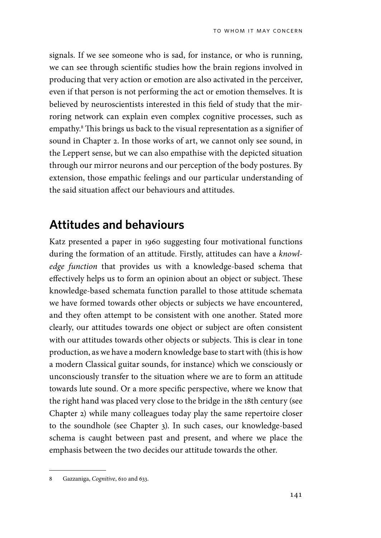signals. If we see someone who is sad, for instance, or who is running, we can see through scientific studies how the brain regions involved in producing that very action or emotion are also activated in the perceiver, even if that person is not performing the act or emotion themselves. It is believed by neuroscientists interested in this field of study that the mirroring network can explain even complex cognitive processes, such as empathy.8 This brings us back to the visual representation as a signifier of sound in Chapter 2. In those works of art, we cannot only see sound, in the Leppert sense, but we can also empathise with the depicted situation through our mirror neurons and our perception of the body postures. By extension, those empathic feelings and our particular understanding of the said situation affect our behaviours and attitudes.

#### **Attitudes and behaviours**

Katz presented a paper in 1960 suggesting four motivational functions during the formation of an attitude. Firstly, attitudes can have a *knowledge function* that provides us with a knowledge-based schema that effectively helps us to form an opinion about an object or subject. These knowledge-based schemata function parallel to those attitude schemata we have formed towards other objects or subjects we have encountered, and they often attempt to be consistent with one another. Stated more clearly, our attitudes towards one object or subject are often consistent with our attitudes towards other objects or subjects. This is clear in tone production, as we have a modern knowledge base to start with (this is how a modern Classical guitar sounds, for instance) which we consciously or unconsciously transfer to the situation where we are to form an attitude towards lute sound. Or a more specific perspective, where we know that the right hand was placed very close to the bridge in the 18th century (see Chapter 2) while many colleagues today play the same repertoire closer to the soundhole (see Chapter 3). In such cases, our knowledge-based schema is caught between past and present, and where we place the emphasis between the two decides our attitude towards the other.

<sup>8</sup> Gazzaniga, *Cognitive*, 610 and 633.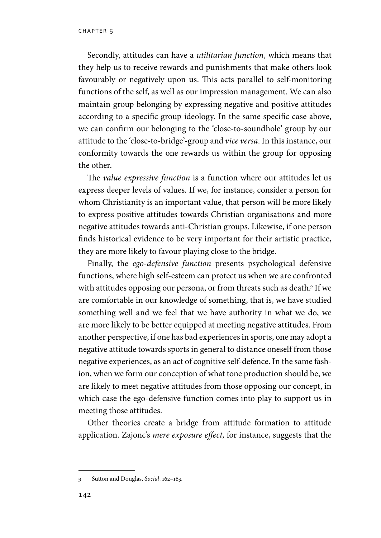chapter 5

Secondly, attitudes can have a *utilitarian function*, which means that they help us to receive rewards and punishments that make others look favourably or negatively upon us. This acts parallel to self-monitoring functions of the self, as well as our impression management. We can also maintain group belonging by expressing negative and positive attitudes according to a specific group ideology. In the same specific case above, we can confirm our belonging to the 'close-to-soundhole' group by our attitude to the 'close-to-bridge'-group and *vice versa*. In this instance, our conformity towards the one rewards us within the group for opposing the other.

The *value expressive function* is a function where our attitudes let us express deeper levels of values. If we, for instance, consider a person for whom Christianity is an important value, that person will be more likely to express positive attitudes towards Christian organisations and more negative attitudes towards anti-Christian groups. Likewise, if one person finds historical evidence to be very important for their artistic practice, they are more likely to favour playing close to the bridge.

Finally, the *ego-defensive function* presents psychological defensive functions, where high self-esteem can protect us when we are confronted with attitudes opposing our persona, or from threats such as death.9 If we are comfortable in our knowledge of something, that is, we have studied something well and we feel that we have authority in what we do, we are more likely to be better equipped at meeting negative attitudes. From another perspective, if one has bad experiences in sports, one may adopt a negative attitude towards sports in general to distance oneself from those negative experiences, as an act of cognitive self-defence. In the same fashion, when we form our conception of what tone production should be, we are likely to meet negative attitudes from those opposing our concept, in which case the ego-defensive function comes into play to support us in meeting those attitudes.

Other theories create a bridge from attitude formation to attitude application. Zajonc's *mere exposure effect*, for instance, suggests that the

<sup>9</sup> Sutton and Douglas, *Social*, 162–163.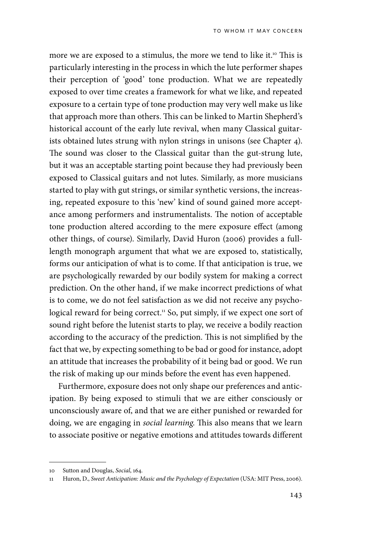more we are exposed to a stimulus, the more we tend to like it.<sup>10</sup> This is particularly interesting in the process in which the lute performer shapes their perception of 'good' tone production. What we are repeatedly exposed to over time creates a framework for what we like, and repeated exposure to a certain type of tone production may very well make us like that approach more than others. This can be linked to Martin Shepherd's historical account of the early lute revival, when many Classical guitarists obtained lutes strung with nylon strings in unisons (see Chapter 4). The sound was closer to the Classical guitar than the gut-strung lute, but it was an acceptable starting point because they had previously been exposed to Classical guitars and not lutes. Similarly, as more musicians started to play with gut strings, or similar synthetic versions, the increasing, repeated exposure to this 'new' kind of sound gained more acceptance among performers and instrumentalists. The notion of acceptable tone production altered according to the mere exposure effect (among other things, of course). Similarly, David Huron (2006) provides a fulllength monograph argument that what we are exposed to, statistically, forms our anticipation of what is to come. If that anticipation is true, we are psychologically rewarded by our bodily system for making a correct prediction. On the other hand, if we make incorrect predictions of what is to come, we do not feel satisfaction as we did not receive any psychological reward for being correct.<sup>11</sup> So, put simply, if we expect one sort of sound right before the lutenist starts to play, we receive a bodily reaction according to the accuracy of the prediction. This is not simplified by the fact that we, by expecting something to be bad or good for instance, adopt an attitude that increases the probability of it being bad or good. We run the risk of making up our minds before the event has even happened.

Furthermore, exposure does not only shape our preferences and anticipation. By being exposed to stimuli that we are either consciously or unconsciously aware of, and that we are either punished or rewarded for doing, we are engaging in *social learning*. This also means that we learn to associate positive or negative emotions and attitudes towards different

<sup>10</sup> Sutton and Douglas, *Social*, 164.

<sup>11</sup> Huron, D., *Sweet Anticipation: Music and the Psychology of Expectation* (USA: MIT Press, 2006).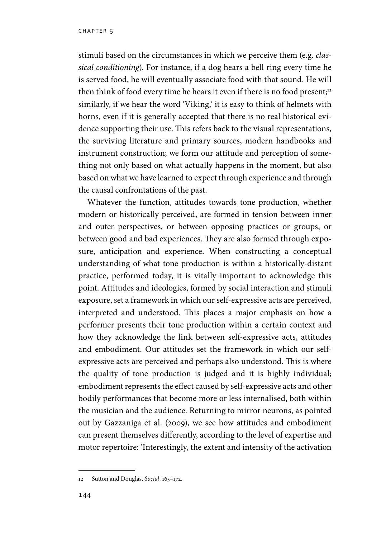stimuli based on the circumstances in which we perceive them (e*.*g. *classical conditioning*). For instance, if a dog hears a bell ring every time he is served food, he will eventually associate food with that sound. He will then think of food every time he hears it even if there is no food present;<sup>12</sup> similarly, if we hear the word 'Viking,' it is easy to think of helmets with horns, even if it is generally accepted that there is no real historical evidence supporting their use. This refers back to the visual representations, the surviving literature and primary sources, modern handbooks and instrument construction; we form our attitude and perception of something not only based on what actually happens in the moment, but also based on what we have learned to expect through experience and through the causal confrontations of the past.

Whatever the function, attitudes towards tone production, whether modern or historically perceived, are formed in tension between inner and outer perspectives, or between opposing practices or groups, or between good and bad experiences. They are also formed through exposure, anticipation and experience. When constructing a conceptual understanding of what tone production is within a historically-distant practice, performed today, it is vitally important to acknowledge this point. Attitudes and ideologies, formed by social interaction and stimuli exposure, set a framework in which our self-expressive acts are perceived, interpreted and understood. This places a major emphasis on how a performer presents their tone production within a certain context and how they acknowledge the link between self-expressive acts, attitudes and embodiment. Our attitudes set the framework in which our selfexpressive acts are perceived and perhaps also understood. This is where the quality of tone production is judged and it is highly individual; embodiment represents the effect caused by self-expressive acts and other bodily performances that become more or less internalised, both within the musician and the audience. Returning to mirror neurons, as pointed out by Gazzaniga et al. (2009), we see how attitudes and embodiment can present themselves differently, according to the level of expertise and motor repertoire: 'Interestingly, the extent and intensity of the activation

<sup>12</sup> Sutton and Douglas, *Social*, 165–172.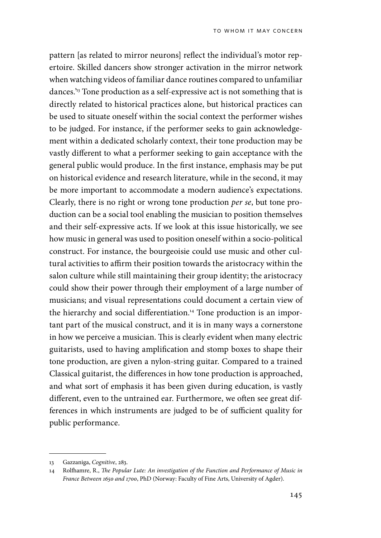pattern [as related to mirror neurons] reflect the individual's motor repertoire. Skilled dancers show stronger activation in the mirror network when watching videos of familiar dance routines compared to unfamiliar dances.'13 Tone production as a self-expressive act is not something that is directly related to historical practices alone, but historical practices can be used to situate oneself within the social context the performer wishes to be judged. For instance, if the performer seeks to gain acknowledgement within a dedicated scholarly context, their tone production may be vastly different to what a performer seeking to gain acceptance with the general public would produce. In the first instance, emphasis may be put on historical evidence and research literature, while in the second, it may be more important to accommodate a modern audience's expectations. Clearly, there is no right or wrong tone production *per se*, but tone production can be a social tool enabling the musician to position themselves and their self-expressive acts. If we look at this issue historically, we see how music in general was used to position oneself within a socio-political construct. For instance, the bourgeoisie could use music and other cultural activities to affirm their position towards the aristocracy within the salon culture while still maintaining their group identity; the aristocracy could show their power through their employment of a large number of musicians; and visual representations could document a certain view of the hierarchy and social differentiation.<sup>14</sup> Tone production is an important part of the musical construct, and it is in many ways a cornerstone in how we perceive a musician. This is clearly evident when many electric guitarists, used to having amplification and stomp boxes to shape their tone production, are given a nylon-string guitar. Compared to a trained Classical guitarist, the differences in how tone production is approached, and what sort of emphasis it has been given during education, is vastly different, even to the untrained ear. Furthermore, we often see great differences in which instruments are judged to be of sufficient quality for public performance.

<sup>13</sup> Gazzaniga, *Cognitive*, 283.

<sup>14</sup> Rolfhamre, R., *The Popular Lute: An investigation of the Function and Performance of Music in France Between 1650 and 1700*, PhD (Norway: Faculty of Fine Arts, University of Agder).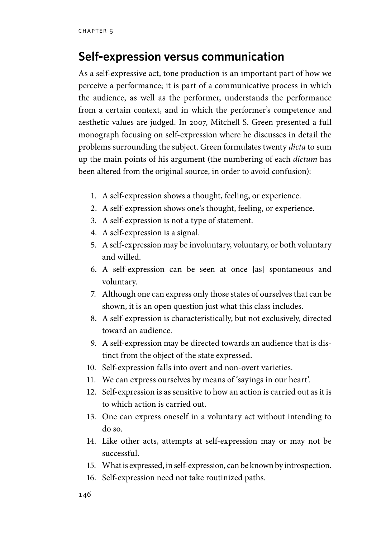#### **Self-expression versus communication**

As a self-expressive act, tone production is an important part of how we perceive a performance; it is part of a communicative process in which the audience, as well as the performer, understands the performance from a certain context, and in which the performer's competence and aesthetic values are judged. In 2007, Mitchell S. Green presented a full monograph focusing on self-expression where he discusses in detail the problems surrounding the subject. Green formulates twenty *dicta* to sum up the main points of his argument (the numbering of each *dictum* has been altered from the original source, in order to avoid confusion):

- 1. A self-expression shows a thought, feeling, or experience.
- 2. A self-expression shows one's thought, feeling, or experience.
- 3. A self-expression is not a type of statement.
- 4. A self-expression is a signal.
- 5. A self-expression may be involuntary, voluntary, or both voluntary and willed.
- 6. A self-expression can be seen at once [as] spontaneous and voluntary.
- 7. Although one can express only those states of ourselves that can be shown, it is an open question just what this class includes.
- 8. A self-expression is characteristically, but not exclusively, directed toward an audience.
- 9. A self-expression may be directed towards an audience that is distinct from the object of the state expressed.
- 10. Self-expression falls into overt and non-overt varieties.
- 11. We can express ourselves by means of 'sayings in our heart'.
- 12. Self-expression is as sensitive to how an action is carried out as it is to which action is carried out.
- 13. One can express oneself in a voluntary act without intending to do so.
- 14. Like other acts, attempts at self-expression may or may not be successful.
- 15. What is expressed, in self-expression, can be known by introspection.
- 16. Self-expression need not take routinized paths.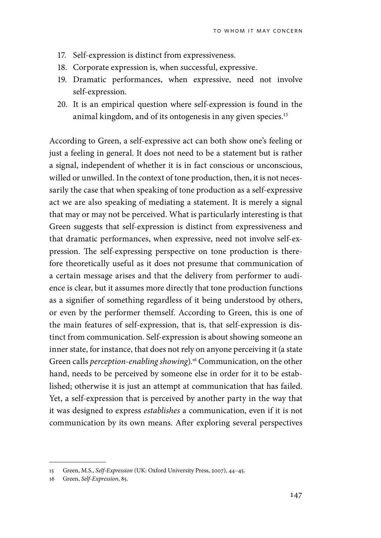- 17. Self-expression is distinct from expressiveness.
- 18. Corporate expression is, when successful, expressive.
- 19. Dramatic performances, when expressive, need not involve self-expression.
- 20. It is an empirical question where self-expression is found in the animal kingdom, and of its ontogenesis in any given species.<sup>15</sup>

According to Green, a self-expressive act can both show one's feeling or just a feeling in general. It does not need to be a statement but is rather a signal, independent of whether it is in fact conscious or unconscious, willed or unwilled. In the context of tone production, then, it is not necessarily the case that when speaking of tone production as a self-expressive act we are also speaking of mediating a statement. It is merely a signal that may or may not be perceived. What is particularly interesting is that Green suggests that self-expression is distinct from expressiveness and that dramatic performances, when expressive, need not involve self-expression. The self-expressing perspective on tone production is therefore theoretically useful as it does not presume that communication of a certain message arises and that the delivery from performer to audience is clear, but it assumes more directly that tone production functions as a signifier of something regardless of it being understood by others, or even by the performer themself. According to Green, this is one of the main features of self-expression, that is, that self-expression is distinct from communication. Self-expression is about showing someone an inner state, for instance, that does not rely on anyone perceiving it (a state Green calls *perception-enabling showing*).16 Communication, on the other hand, needs to be perceived by someone else in order for it to be established; otherwise it is just an attempt at communication that has failed. Yet, a self-expression that is perceived by another party in the way that it was designed to express *establishes* a communication, even if it is not communication by its own means. After exploring several perspectives

<sup>15</sup> Green, M.S., *Self-Expression* (UK: Oxford University Press, 2007), 44–45.

<sup>16</sup> Green, *Self-Expression*, 85.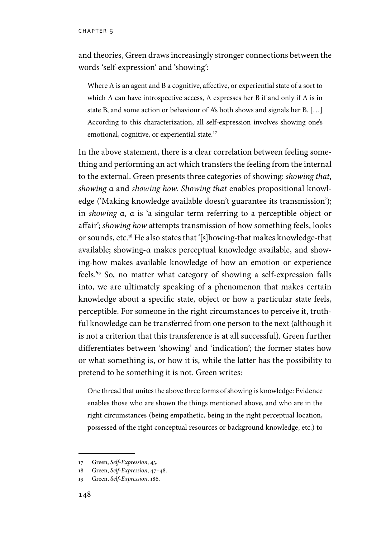and theories, Green draws increasingly stronger connections between the words 'self-expression' and 'showing':

Where A is an agent and B a cognitive, affective, or experiential state of a sort to which A can have introspective access, A expresses her B if and only if A is in state B, and some action or behaviour of A's both shows and signals her B. […] According to this characterization, all self-expression involves showing one's emotional, cognitive, or experiential state.17

In the above statement, there is a clear correlation between feeling something and performing an act which transfers the feeling from the internal to the external. Green presents three categories of showing: *showing that*, *showing* α and *showing how*. *Showing that* enables propositional knowledge ('Making knowledge available doesn't guarantee its transmission'); in *showing* α, α is 'a singular term referring to a perceptible object or affair'; *showing how* attempts transmission of how something feels, looks or sounds, etc.18 He also states that '[s]howing-that makes knowledge-that available; showing-α makes perceptual knowledge available, and showing-how makes available knowledge of how an emotion or experience feels.'19 So, no matter what category of showing a self-expression falls into, we are ultimately speaking of a phenomenon that makes certain knowledge about a specific state, object or how a particular state feels, perceptible. For someone in the right circumstances to perceive it, truthful knowledge can be transferred from one person to the next (although it is not a criterion that this transference is at all successful). Green further differentiates between 'showing' and 'indication'; the former states how or what something is, or how it is, while the latter has the possibility to pretend to be something it is not. Green writes:

One thread that unites the above three forms of showing is knowledge: Evidence enables those who are shown the things mentioned above, and who are in the right circumstances (being empathetic, being in the right perceptual location, possessed of the right conceptual resources or background knowledge, etc.) to

<sup>17</sup> Green, *Self-Expression*, 43.

<sup>18</sup> Green, *Self-Expression*, 47–48.

<sup>19</sup> Green, *Self-Expression*, 186.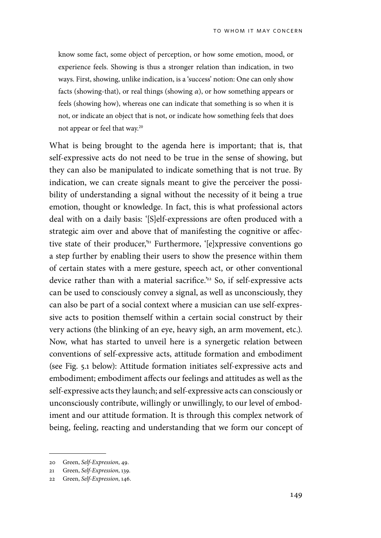know some fact, some object of perception, or how some emotion, mood, or experience feels. Showing is thus a stronger relation than indication, in two ways. First, showing, unlike indication, is a 'success' notion: One can only show facts (showing-that), or real things (showing *α*), or how something appears or feels (showing how), whereas one can indicate that something is so when it is not, or indicate an object that is not, or indicate how something feels that does not appear or feel that way.<sup>20</sup>

What is being brought to the agenda here is important; that is, that self-expressive acts do not need to be true in the sense of showing, but they can also be manipulated to indicate something that is not true. By indication, we can create signals meant to give the perceiver the possibility of understanding a signal without the necessity of it being a true emotion, thought or knowledge. In fact, this is what professional actors deal with on a daily basis: '[S]elf-expressions are often produced with a strategic aim over and above that of manifesting the cognitive or affective state of their producer,<sup>21</sup> Furthermore, '[e]xpressive conventions go a step further by enabling their users to show the presence within them of certain states with a mere gesture, speech act, or other conventional device rather than with a material sacrifice.<sup>22</sup> So, if self-expressive acts can be used to consciously convey a signal, as well as unconsciously, they can also be part of a social context where a musician can use self-expressive acts to position themself within a certain social construct by their very actions (the blinking of an eye, heavy sigh, an arm movement, etc.). Now, what has started to unveil here is a synergetic relation between conventions of self-expressive acts, attitude formation and embodiment (see Fig. 5.1 below): Attitude formation initiates self-expressive acts and embodiment; embodiment affects our feelings and attitudes as well as the self-expressive acts they launch; and self-expressive acts can consciously or unconsciously contribute, willingly or unwillingly, to our level of embodiment and our attitude formation. It is through this complex network of being, feeling, reacting and understanding that we form our concept of

<sup>20</sup> Green, *Self-Expression*, 49.

<sup>21</sup> Green, *Self-Expression*, 139.

<sup>22</sup> Green, *Self-Expression*, 146.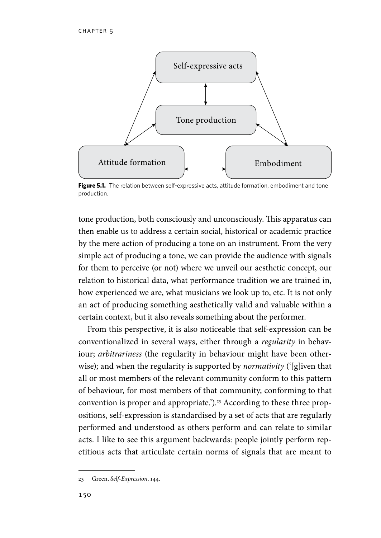

**Figure 5.1.** The relation between self-expressive acts, attitude formation, embodiment and tone production.

tone production, both consciously and unconsciously. This apparatus can then enable us to address a certain social, historical or academic practice by the mere action of producing a tone on an instrument. From the very simple act of producing a tone, we can provide the audience with signals for them to perceive (or not) where we unveil our aesthetic concept, our relation to historical data, what performance tradition we are trained in, how experienced we are, what musicians we look up to, etc. It is not only an act of producing something aesthetically valid and valuable within a certain context, but it also reveals something about the performer.

From this perspective, it is also noticeable that self-expression can be conventionalized in several ways, either through a *regularity* in behaviour; *arbitrariness* (the regularity in behaviour might have been otherwise); and when the regularity is supported by *normativity* ('[g]iven that all or most members of the relevant community conform to this pattern of behaviour, for most members of that community, conforming to that convention is proper and appropriate.').<sup>23</sup> According to these three propositions, self-expression is standardised by a set of acts that are regularly performed and understood as others perform and can relate to similar acts. I like to see this argument backwards: people jointly perform repetitious acts that articulate certain norms of signals that are meant to

<sup>23</sup> Green, *Self-Expression*, 144.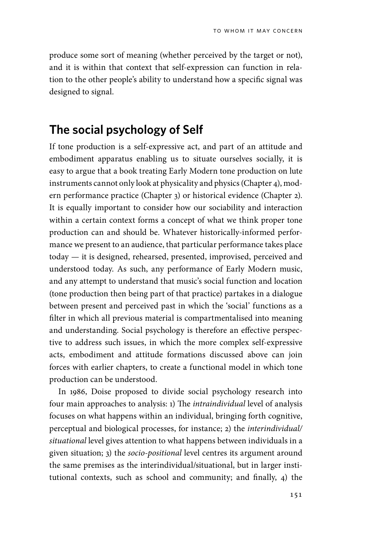produce some sort of meaning (whether perceived by the target or not), and it is within that context that self-expression can function in relation to the other people's ability to understand how a specific signal was designed to signal.

#### **The social psychology of Self**

If tone production is a self-expressive act, and part of an attitude and embodiment apparatus enabling us to situate ourselves socially, it is easy to argue that a book treating Early Modern tone production on lute instruments cannot only look at physicality and physics (Chapter 4), modern performance practice (Chapter 3) or historical evidence (Chapter 2). It is equally important to consider how our sociability and interaction within a certain context forms a concept of what we think proper tone production can and should be. Whatever historically-informed performance we present to an audience, that particular performance takes place today — it is designed, rehearsed, presented, improvised, perceived and understood today. As such, any performance of Early Modern music, and any attempt to understand that music's social function and location (tone production then being part of that practice) partakes in a dialogue between present and perceived past in which the 'social' functions as a filter in which all previous material is compartmentalised into meaning and understanding. Social psychology is therefore an effective perspective to address such issues, in which the more complex self-expressive acts, embodiment and attitude formations discussed above can join forces with earlier chapters, to create a functional model in which tone production can be understood.

In 1986, Doise proposed to divide social psychology research into four main approaches to analysis: 1) The *intraindividual* level of analysis focuses on what happens within an individual, bringing forth cognitive, perceptual and biological processes, for instance; 2) the *interindividual/ situational* level gives attention to what happens between individuals in a given situation; 3) the *socio*-*positional* level centres its argument around the same premises as the interindividual/situational, but in larger institutional contexts, such as school and community; and finally, 4) the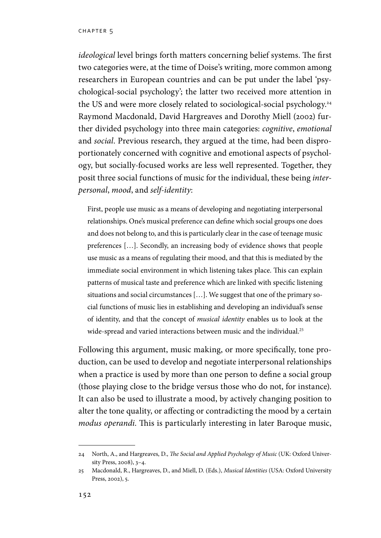#### chapter 5

*ideological* level brings forth matters concerning belief systems. The first two categories were, at the time of Doise's writing, more common among researchers in European countries and can be put under the label 'psychological-social psychology'; the latter two received more attention in the US and were more closely related to sociological-social psychology.24 Raymond Macdonald, David Hargreaves and Dorothy Miell (2002) further divided psychology into three main categories: *cognitive*, *emotional* and *social*. Previous research, they argued at the time, had been disproportionately concerned with cognitive and emotional aspects of psychology, but socially-focused works are less well represented. Together, they posit three social functions of music for the individual, these being *interpersonal*, *mood*, and *self-identity*:

First, people use music as a means of developing and negotiating interpersonal relationships. One's musical preference can define which social groups one does and does not belong to, and this is particularly clear in the case of teenage music preferences […]. Secondly, an increasing body of evidence shows that people use music as a means of regulating their mood, and that this is mediated by the immediate social environment in which listening takes place. This can explain patterns of musical taste and preference which are linked with specific listening situations and social circumstances […]. We suggest that one of the primary social functions of music lies in establishing and developing an individual's sense of identity, and that the concept of *musical identity* enables us to look at the wide-spread and varied interactions between music and the individual.<sup>25</sup>

Following this argument, music making, or more specifically, tone production, can be used to develop and negotiate interpersonal relationships when a practice is used by more than one person to define a social group (those playing close to the bridge versus those who do not, for instance). It can also be used to illustrate a mood, by actively changing position to alter the tone quality, or affecting or contradicting the mood by a certain *modus operandi*. This is particularly interesting in later Baroque music,

<sup>24</sup> North, A., and Hargreaves, D., *The Social and Applied Psychology of Music* (UK: Oxford University Press, 2008), 3–4.

<sup>25</sup> Macdonald, R., Hargreaves, D., and Miell, D. (Eds.), *Musical Identities* (USA: Oxford University Press, 2002), 5.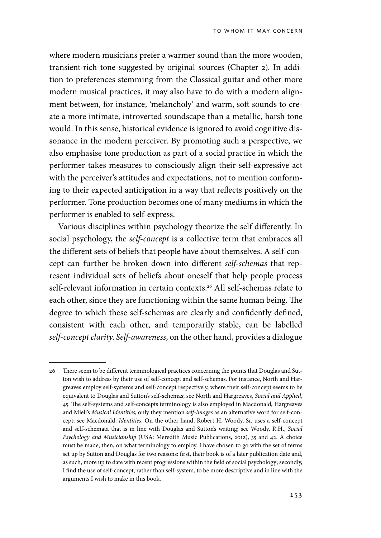where modern musicians prefer a warmer sound than the more wooden, transient-rich tone suggested by original sources (Chapter 2). In addition to preferences stemming from the Classical guitar and other more modern musical practices, it may also have to do with a modern alignment between, for instance, 'melancholy' and warm, soft sounds to create a more intimate, introverted soundscape than a metallic, harsh tone would. In this sense, historical evidence is ignored to avoid cognitive dissonance in the modern perceiver. By promoting such a perspective, we also emphasise tone production as part of a social practice in which the performer takes measures to consciously align their self-expressive act with the perceiver's attitudes and expectations, not to mention conforming to their expected anticipation in a way that reflects positively on the performer. Tone production becomes one of many mediums in which the performer is enabled to self-express.

Various disciplines within psychology theorize the self differently. In social psychology, the *self-concept* is a collective term that embraces all the different sets of beliefs that people have about themselves. A self-concept can further be broken down into different *self-schemas* that represent individual sets of beliefs about oneself that help people process self-relevant information in certain contexts.<sup>26</sup> All self-schemas relate to each other, since they are functioning within the same human being. The degree to which these self-schemas are clearly and confidently defined, consistent with each other, and temporarily stable, can be labelled *self-concept clarity*. *Self-awareness*, on the other hand, provides a dialogue

<sup>26</sup> There seem to be different terminological practices concerning the points that Douglas and Sutton wish to address by their use of self-concept and self-schemas. For instance, North and Hargreaves employ self-systems and self-concept respectively, where their self-concept seems to be equivalent to Douglas and Sutton's self-schemas; see North and Hargreaves, *Social and Applied*, 45. The self-systems and self-concepts terminology is also employed in Macdonald, Hargreaves and Miell's *Musical Identities*, only they mention *self-images* as an alternative word for self-concept; see Macdonald, *Identities*. On the other hand, Robert H. Woody, Sr. uses a self-concept and self-schemata that is in line with Douglas and Sutton's writing; see Woody, R.H., *Social Psychology and Musicianship* (USA: Meredith Music Publications, 2012), 35 and 42. A choice must be made, then, on what terminology to employ. I have chosen to go with the set of terms set up by Sutton and Douglas for two reasons: first, their book is of a later publication date and, as such, more up to date with recent progressions within the field of social psychology; secondly, I find the use of self-concept, rather than self-system, to be more descriptive and in line with the arguments I wish to make in this book.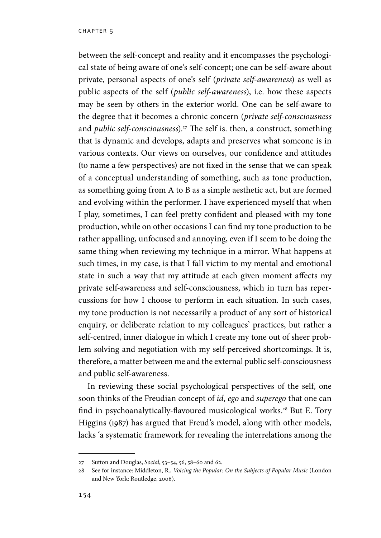between the self-concept and reality and it encompasses the psychological state of being aware of one's self-concept; one can be self-aware about private, personal aspects of one's self (*private self-awareness*) as well as public aspects of the self (*public self-awareness*), i.e. how these aspects may be seen by others in the exterior world. One can be self-aware to the degree that it becomes a chronic concern (*private self-consciousness* and *public self-consciousness*).<sup>27</sup> The self is. then, a construct, something that is dynamic and develops, adapts and preserves what someone is in various contexts. Our views on ourselves, our confidence and attitudes (to name a few perspectives) are not fixed in the sense that we can speak of a conceptual understanding of something, such as tone production, as something going from A to B as a simple aesthetic act, but are formed and evolving within the performer. I have experienced myself that when I play, sometimes, I can feel pretty confident and pleased with my tone production, while on other occasions I can find my tone production to be rather appalling, unfocused and annoying, even if I seem to be doing the same thing when reviewing my technique in a mirror. What happens at such times, in my case, is that I fall victim to my mental and emotional state in such a way that my attitude at each given moment affects my private self-awareness and self-consciousness, which in turn has repercussions for how I choose to perform in each situation. In such cases, my tone production is not necessarily a product of any sort of historical enquiry, or deliberate relation to my colleagues' practices, but rather a self-centred, inner dialogue in which I create my tone out of sheer problem solving and negotiation with my self-perceived shortcomings. It is, therefore, a matter between me and the external public self-consciousness and public self-awareness.

In reviewing these social psychological perspectives of the self, one soon thinks of the Freudian concept of *id*, *ego* and *superego* that one can find in psychoanalytically-flavoured musicological works.<sup>28</sup> But E. Tory Higgins (1987) has argued that Freud's model, along with other models, lacks 'a systematic framework for revealing the interrelations among the

<sup>27</sup> Sutton and Douglas, *Social*, 53–54, 56, 58–60 and 62.

<sup>28</sup> See for instance: Middleton, R., *Voicing the Popular: On the Subjects of Popular Music* (London and New York: Routledge, 2006).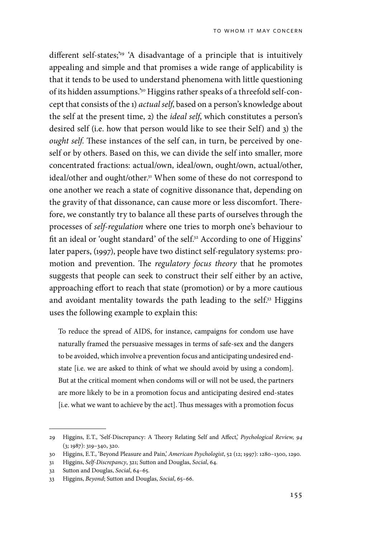different self-states;<sup>29</sup> 'A disadvantage of a principle that is intuitively appealing and simple and that promises a wide range of applicability is that it tends to be used to understand phenomena with little questioning of its hidden assumptions.'30 Higgins rather speaks of a threefold self-concept that consists of the 1) *actual self*, based on a person's knowledge about the self at the present time, 2) the *ideal self*, which constitutes a person's desired self (i.e. how that person would like to see their Self) and 3) the *ought self*. These instances of the self can, in turn, be perceived by oneself or by others. Based on this, we can divide the self into smaller, more concentrated fractions: actual/own, ideal/own, ought/own, actual/other, ideal/other and ought/other.<sup>31</sup> When some of these do not correspond to one another we reach a state of cognitive dissonance that, depending on the gravity of that dissonance, can cause more or less discomfort. Therefore, we constantly try to balance all these parts of ourselves through the processes of *self-regulation* where one tries to morph one's behaviour to fit an ideal or 'ought standard' of the self.<sup>32</sup> According to one of Higgins' later papers, (1997), people have two distinct self-regulatory systems: promotion and prevention. The *regulatory focus theory* that he promotes suggests that people can seek to construct their self either by an active, approaching effort to reach that state (promotion) or by a more cautious and avoidant mentality towards the path leading to the self.<sup>33</sup> Higgins uses the following example to explain this:

To reduce the spread of AIDS, for instance, campaigns for condom use have naturally framed the persuasive messages in terms of safe-sex and the dangers to be avoided, which involve a prevention focus and anticipating undesired endstate [i.e. we are asked to think of what we should avoid by using a condom]. But at the critical moment when condoms will or will not be used, the partners are more likely to be in a promotion focus and anticipating desired end-states [i.e. what we want to achieve by the act]. Thus messages with a promotion focus

<sup>29</sup> Higgins, E.T., 'Self-Discrepancy: A Theory Relating Self and Affect,' *Psychological Review, 94*  (3; 1987): 319–340, 320.

<sup>30</sup> Higgins, E.T., 'Beyond Pleasure and Pain,' *American Psychologist*, 52 (12; 1997): 1280–1300, 1290.

<sup>31</sup> Higgins, *Self-Discrepancy*, 321; Sutton and Douglas, *Social*, 64.

<sup>32</sup> Sutton and Douglas, *Social*, 64–65.

<sup>33</sup> Higgins, *Beyond*; Sutton and Douglas, *Social*, 65–66.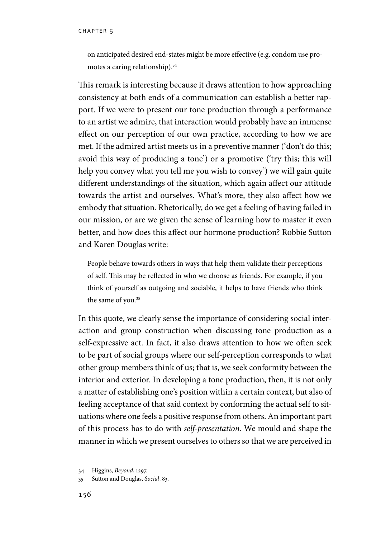on anticipated desired end-states might be more effective (e.g. condom use promotes a caring relationship).34

This remark is interesting because it draws attention to how approaching consistency at both ends of a communication can establish a better rapport. If we were to present our tone production through a performance to an artist we admire, that interaction would probably have an immense effect on our perception of our own practice, according to how we are met. If the admired artist meets us in a preventive manner ('don't do this; avoid this way of producing a tone') or a promotive ('try this; this will help you convey what you tell me you wish to convey') we will gain quite different understandings of the situation, which again affect our attitude towards the artist and ourselves. What's more, they also affect how we embody that situation. Rhetorically, do we get a feeling of having failed in our mission, or are we given the sense of learning how to master it even better, and how does this affect our hormone production? Robbie Sutton and Karen Douglas write:

People behave towards others in ways that help them validate their perceptions of self. This may be reflected in who we choose as friends. For example, if you think of yourself as outgoing and sociable, it helps to have friends who think the same of you.<sup>35</sup>

In this quote, we clearly sense the importance of considering social interaction and group construction when discussing tone production as a self-expressive act. In fact, it also draws attention to how we often seek to be part of social groups where our self-perception corresponds to what other group members think of us; that is, we seek conformity between the interior and exterior. In developing a tone production, then, it is not only a matter of establishing one's position within a certain context, but also of feeling acceptance of that said context by conforming the actual self to situations where one feels a positive response from others. An important part of this process has to do with *self-presentation*. We mould and shape the manner in which we present ourselves to others so that we are perceived in

<sup>34</sup> Higgins, *Beyond*, 1297.

<sup>35</sup> Sutton and Douglas, *Social*, 83.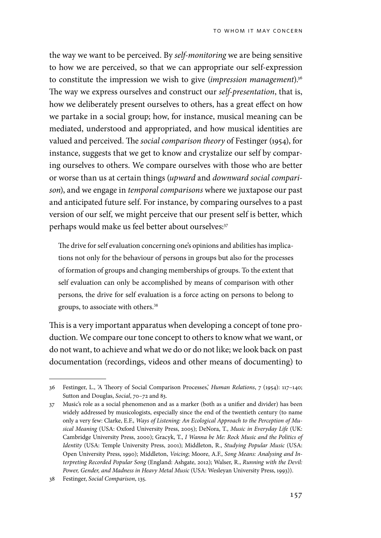the way we want to be perceived. By *self-monitoring* we are being sensitive to how we are perceived, so that we can appropriate our self-expression to constitute the impression we wish to give (*impression management*).36 The way we express ourselves and construct our *self-presentation*, that is, how we deliberately present ourselves to others, has a great effect on how we partake in a social group; how, for instance, musical meaning can be mediated, understood and appropriated, and how musical identities are valued and perceived. The *social comparison theory* of Festinger (1954), for instance, suggests that we get to know and crystalize our self by comparing ourselves to others. We compare ourselves with those who are better or worse than us at certain things (*upward* and *downward social comparison*), and we engage in *temporal comparisons* where we juxtapose our past and anticipated future self. For instance, by comparing ourselves to a past version of our self, we might perceive that our present self is better, which perhaps would make us feel better about ourselves:<sup>37</sup>

The drive for self evaluation concerning one's opinions and abilities has implications not only for the behaviour of persons in groups but also for the processes of formation of groups and changing memberships of groups. To the extent that self evaluation can only be accomplished by means of comparison with other persons, the drive for self evaluation is a force acting on persons to belong to groups, to associate with others.<sup>38</sup>

This is a very important apparatus when developing a concept of tone production. We compare our tone concept to others to know what we want, or do not want, to achieve and what we do or do not like; we look back on past documentation (recordings, videos and other means of documenting) to

<sup>36</sup> Festinger, L., 'A Theory of Social Comparison Processes,' *Human Relations*, 7 (1954): 117–140; Sutton and Douglas, *Social*, 70–72 and 83.

<sup>37</sup> Music's role as a social phenomenon and as a marker (both as a unifier and divider) has been widely addressed by musicologists, especially since the end of the twentieth century (to name only a very few: Clarke, E.F., *Ways of Listening: An Ecological Approach to the Perception of Musical Meaning* (USA: Oxford University Press, 2005); DeNora, T., *Music in Everyday Life* (UK: Cambridge University Press, 2000); Gracyk, T., *I Wanna be Me: Rock Music and the Politics of Identity* (USA: Temple University Press, 2001); Middleton, R., *Studying Popular Music* (USA: Open University Press, 1990); Middleton, *Voicing*; Moore, A.F., *Song Means: Analysing and Interpreting Recorded Popular Song* (England: Ashgate, 2012); Walser, R., *Running with the Devil: Power, Gender, and Madness in Heavy Metal Music* (USA: Wesleyan University Press, 1993)).

<sup>38</sup> Festinger, *Social Comparison*, 135.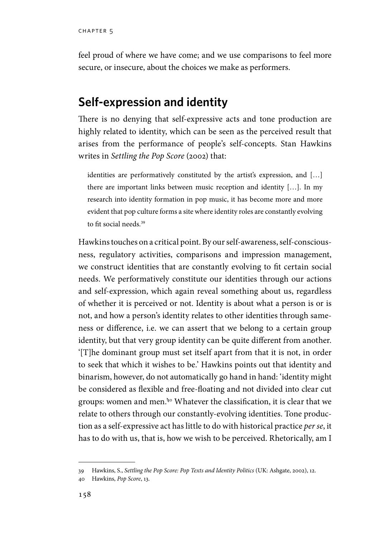feel proud of where we have come; and we use comparisons to feel more secure, or insecure, about the choices we make as performers.

## **Self-expression and identity**

There is no denying that self-expressive acts and tone production are highly related to identity, which can be seen as the perceived result that arises from the performance of people's self-concepts. Stan Hawkins writes in *Settling the Pop Score* (2002) that:

identities are performatively constituted by the artist's expression, and […] there are important links between music reception and identity […]. In my research into identity formation in pop music, it has become more and more evident that pop culture forms a site where identity roles are constantly evolving to fit social needs.39

Hawkins touches on a critical point. By our self-awareness, self-consciousness, regulatory activities, comparisons and impression management, we construct identities that are constantly evolving to fit certain social needs. We performatively constitute our identities through our actions and self-expression, which again reveal something about us, regardless of whether it is perceived or not. Identity is about what a person is or is not, and how a person's identity relates to other identities through sameness or difference, i.e. we can assert that we belong to a certain group identity, but that very group identity can be quite different from another. '[T]he dominant group must set itself apart from that it is not, in order to seek that which it wishes to be.' Hawkins points out that identity and binarism, however, do not automatically go hand in hand: 'identity might be considered as flexible and free-floating and not divided into clear cut groups: women and men.'40 Whatever the classification, it is clear that we relate to others through our constantly-evolving identities. Tone production as a self-expressive act has little to do with historical practice *per se*, it has to do with us, that is, how we wish to be perceived. Rhetorically, am I

<sup>39</sup> Hawkins, S., *Settling the Pop Score: Pop Texts and Identity Politics* (UK: Ashgate, 2002), 12.

<sup>40</sup> Hawkins, *Pop Score*, 13.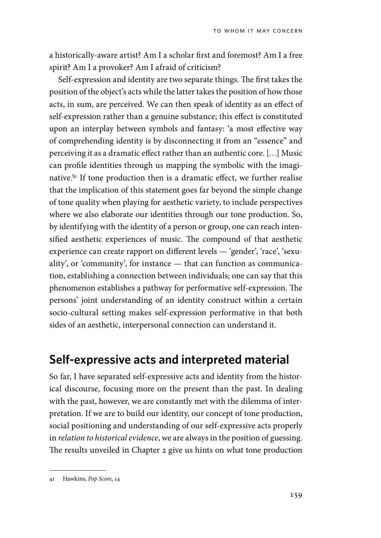a historically-aware artist? Am I a scholar first and foremost? Am I a free spirit? Am I a provoker? Am I afraid of criticism?

Self-expression and identity are two separate things. The first takes the position of the object's acts while the latter takes the position of how those acts, in sum, are perceived. We can then speak of identity as an effect of self-expression rather than a genuine substance; this effect is constituted upon an interplay between symbols and fantasy: 'a most effective way of comprehending identity is by disconnecting it from an "essence" and perceiving it as a dramatic effect rather than an authentic core. […] Music can profile identities through us mapping the symbolic with the imaginative.'41 If tone production then is a dramatic effect, we further realise that the implication of this statement goes far beyond the simple change of tone quality when playing for aesthetic variety, to include perspectives where we also elaborate our identities through our tone production. So, by identifying with the identity of a person or group, one can reach intensified aesthetic experiences of music. The compound of that aesthetic experience can create rapport on different levels — 'gender', 'race', 'sexuality', or 'community', for instance — that can function as communication, establishing a connection between individuals; one can say that this phenomenon establishes a pathway for performative self-expression. The persons' joint understanding of an identity construct within a certain socio-cultural setting makes self-expression performative in that both sides of an aesthetic, interpersonal connection can understand it.

#### **Self-expressive acts and interpreted material**

So far, I have separated self-expressive acts and identity from the historical discourse, focusing more on the present than the past. In dealing with the past, however, we are constantly met with the dilemma of interpretation. If we are to build our identity, our concept of tone production, social positioning and understanding of our self-expressive acts properly in *relation to historical evidence*, we are always in the position of guessing. The results unveiled in Chapter 2 give us hints on what tone production

<sup>41</sup> Hawkins, *Pop Score*, 14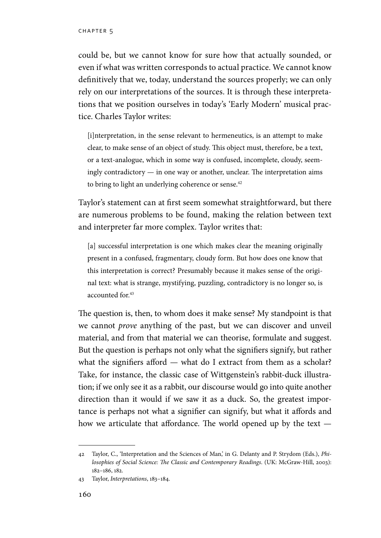could be, but we cannot know for sure how that actually sounded, or even if what was written corresponds to actual practice. We cannot know definitively that we, today, understand the sources properly; we can only rely on our interpretations of the sources. It is through these interpretations that we position ourselves in today's 'Early Modern' musical practice. Charles Taylor writes:

[i]nterpretation, in the sense relevant to hermeneutics, is an attempt to make clear, to make sense of an object of study. This object must, therefore, be a text, or a text-analogue, which in some way is confused, incomplete, cloudy, seemingly contradictory — in one way or another, unclear. The interpretation aims to bring to light an underlying coherence or sense.<sup>42</sup>

Taylor's statement can at first seem somewhat straightforward, but there are numerous problems to be found, making the relation between text and interpreter far more complex. Taylor writes that:

[a] successful interpretation is one which makes clear the meaning originally present in a confused, fragmentary, cloudy form. But how does one know that this interpretation is correct? Presumably because it makes sense of the original text: what is strange, mystifying, puzzling, contradictory is no longer so, is accounted for.<sup>43</sup>

The question is, then, to whom does it make sense? My standpoint is that we cannot *prove* anything of the past, but we can discover and unveil material, and from that material we can theorise, formulate and suggest. But the question is perhaps not only what the signifiers signify, but rather what the signifiers afford — what do I extract from them as a scholar? Take, for instance, the classic case of Wittgenstein's rabbit-duck illustration; if we only see it as a rabbit, our discourse would go into quite another direction than it would if we saw it as a duck. So, the greatest importance is perhaps not what a signifier can signify, but what it affords and how we articulate that affordance. The world opened up by the text —

<sup>42</sup> Taylor, C., 'Interpretation and the Sciences of Man,' in G. Delanty and P. Strydom (Eds.), *Philosophies of Social Science: The Classic and Contemporary Readings*. (UK: McGraw-Hill, 2003): 182–186, 182.

<sup>43</sup> Taylor, *Interpretations*, 183–184.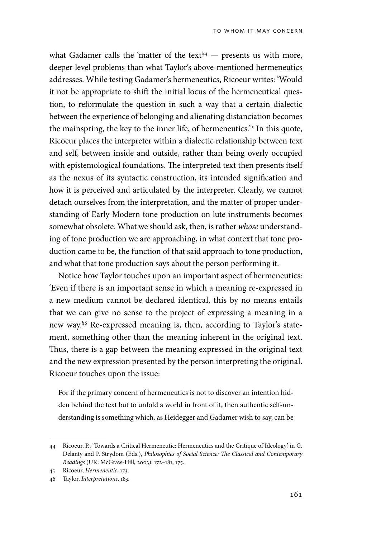what Gadamer calls the 'matter of the text $44$  — presents us with more, deeper-level problems than what Taylor's above-mentioned hermeneutics addresses. While testing Gadamer's hermeneutics, Ricoeur writes: 'Would it not be appropriate to shift the initial locus of the hermeneutical question, to reformulate the question in such a way that a certain dialectic between the experience of belonging and alienating distanciation becomes the mainspring, the key to the inner life, of hermeneutics.<sup>45</sup> In this quote, Ricoeur places the interpreter within a dialectic relationship between text and self, between inside and outside, rather than being overly occupied with epistemological foundations. The interpreted text then presents itself as the nexus of its syntactic construction, its intended signification and how it is perceived and articulated by the interpreter. Clearly, we cannot detach ourselves from the interpretation, and the matter of proper understanding of Early Modern tone production on lute instruments becomes somewhat obsolete. What we should ask, then, is rather *whose* understanding of tone production we are approaching, in what context that tone production came to be, the function of that said approach to tone production, and what that tone production says about the person performing it.

Notice how Taylor touches upon an important aspect of hermeneutics: 'Even if there is an important sense in which a meaning re-expressed in a new medium cannot be declared identical, this by no means entails that we can give no sense to the project of expressing a meaning in a new way.'46 Re-expressed meaning is, then, according to Taylor's statement, something other than the meaning inherent in the original text. Thus, there is a gap between the meaning expressed in the original text and the new expression presented by the person interpreting the original. Ricoeur touches upon the issue:

For if the primary concern of hermeneutics is not to discover an intention hidden behind the text but to unfold a world in front of it, then authentic self-understanding is something which, as Heidegger and Gadamer wish to say, can be

<sup>44</sup> Ricoeur, P., 'Towards a Critical Hermeneutic: Hermeneutics and the Critique of Ideology,' in G. Delanty and P. Strydom (Eds.), *Philosophies of Social Science: The Classical and Contemporary Readings* (UK: McGraw-Hill, 2003): 172–181, 175.

<sup>45</sup> Ricoeur, *Hermeneutic*, 173.

<sup>46</sup> Taylor, *Interpretations*, 183.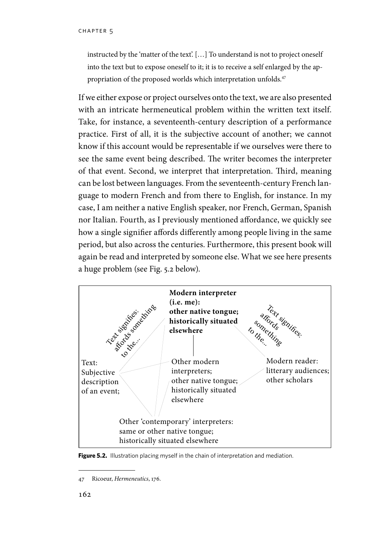instructed by the 'matter of the text'. […] To understand is not to project oneself into the text but to expose oneself to it; it is to receive a self enlarged by the appropriation of the proposed worlds which interpretation unfolds.<sup>47</sup>

If we either expose or project ourselves onto the text, we are also presented with an intricate hermeneutical problem within the written text itself. Take, for instance, a seventeenth-century description of a performance practice. First of all, it is the subjective account of another; we cannot know if this account would be representable if we ourselves were there to see the same event being described. The writer becomes the interpreter of that event. Second, we interpret that interpretation. Third, meaning can be lost between languages. From the seventeenth-century French language to modern French and from there to English, for instance. In my case, I am neither a native English speaker, nor French, German, Spanish nor Italian. Fourth, as I previously mentioned affordance, we quickly see how a single signifier affords differently among people living in the same period, but also across the centuries. Furthermore, this present book will again be read and interpreted by someone else. What we see here presents a huge problem (see Fig. 5.2 below).



Figure 5.2. Illustration placing myself in the chain of interpretation and mediation.

<sup>47</sup> Ricoeur, *Hermeneutics*, 176.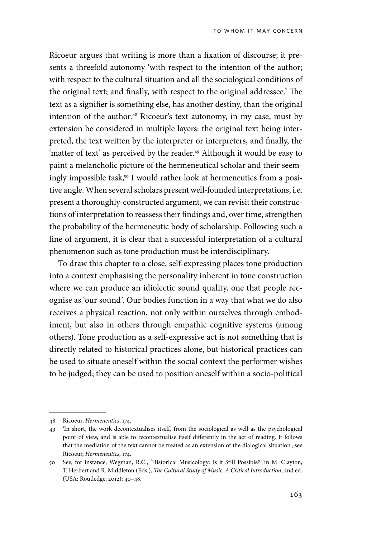Ricoeur argues that writing is more than a fixation of discourse; it presents a threefold autonomy 'with respect to the intention of the author; with respect to the cultural situation and all the sociological conditions of the original text; and finally, with respect to the original addressee.' The text as a signifier is something else, has another destiny, than the original intention of the author.<sup>48</sup> Ricoeur's text autonomy, in my case, must by extension be considered in multiple layers: the original text being interpreted, the text written by the interpreter or interpreters, and finally, the 'matter of text' as perceived by the reader.<sup>49</sup> Although it would be easy to paint a melancholic picture of the hermeneutical scholar and their seemingly impossible task,<sup>50</sup> I would rather look at hermeneutics from a positive angle. When several scholars present well-founded interpretations, i.e. present a thoroughly-constructed argument, we can revisit their constructions of interpretation to reassess their findings and, over time, strengthen the probability of the hermeneutic body of scholarship. Following such a line of argument, it is clear that a successful interpretation of a cultural phenomenon such as tone production must be interdisciplinary.

To draw this chapter to a close, self-expressing places tone production into a context emphasising the personality inherent in tone construction where we can produce an idiolectic sound quality, one that people recognise as 'our sound'. Our bodies function in a way that what we do also receives a physical reaction, not only within ourselves through embodiment, but also in others through empathic cognitive systems (among others). Tone production as a self-expressive act is not something that is directly related to historical practices alone, but historical practices can be used to situate oneself within the social context the performer wishes to be judged; they can be used to position oneself within a socio-political

<sup>48</sup> Ricoeur, *Hermeneutics*, 174.

<sup>49</sup> 'In short, the work decontextualises itself, from the sociological as well as the psychological point of view, and is able to recontextualise itself differently in the act of reading. It follows that the mediation of the text cannot be treated as an extension of the dialogical situation'; see Ricoeur, *Hermeneutics*, 174.

<sup>50</sup> See, for instance, Wegman, R.C., 'Historical Musicology: Is it Still Possible?' in M. Clayton, T. Herbert and R. Middleton (Eds.), *The Cultural Study of Music: A Critical Introduction*, 2nd ed. (USA: Routledge, 2012): 40–48.